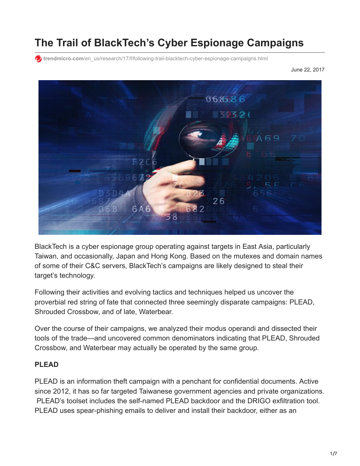# **The Trail of BlackTech's Cyber Espionage Campaigns**

**trendmicro.com[/en\\_us/research/17/f/following-trail-blacktech-cyber-espionage-campaigns.html](https://www.trendmicro.com/en_us/research/17/f/following-trail-blacktech-cyber-espionage-campaigns.html)** 

June 22, 2017



BlackTech is a cyber espionage group operating against targets in East Asia, particularly Taiwan, and occasionally, Japan and Hong Kong. Based on the mutexes and domain names of some of their C&C servers, BlackTech's campaigns are likely designed to steal their target's technology.

Following their activities and evolving tactics and techniques helped us uncover the proverbial red string of fate that connected three seemingly disparate campaigns: PLEAD, Shrouded Crossbow, and of late, Waterbear.

Over the course of their campaigns, we analyzed their modus operandi and dissected their tools of the trade—and uncovered common denominators indicating that PLEAD, Shrouded Crossbow, and Waterbear may actually be operated by the same group.

#### **PLEAD**

PLEAD is an information theft campaign with a penchant for confidential documents. Active since 2012, it has so far targeted Taiwanese government agencies and private organizations. PLEAD's toolset includes the self-named PLEAD backdoor and the DRIGO exfiltration tool. PLEAD uses spear-phishing emails to deliver and install their backdoor, either as an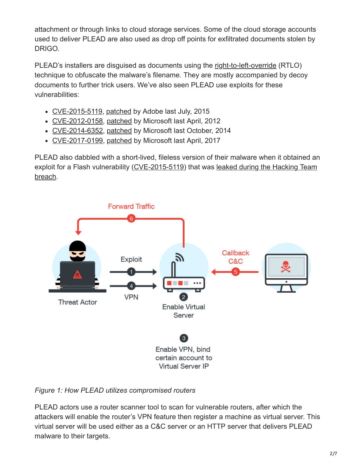attachment or through links to cloud storage services. Some of the cloud storage accounts used to deliver PLEAD are also used as drop off points for exfiltrated documents stolen by DRIGO.

PLEAD's installers are disguised as documents using the [right-to-left-override](http://krebsonsecurity.com/2011/09/right-to-left-override-aids-email-attacks/) (RTLO) technique to obfuscate the malware's filename. They are mostly accompanied by decoy documents to further trick users. We've also seen PLEAD use exploits for these vulnerabilities:

- [CVE-2015-5119](http://blog.trendmicro.com/trendlabs-security-intelligence/unpatched-flash-player-flaws-more-pocs-found-in-hacking-team-leak/), [patched](https://helpx.adobe.com/security/products/flash-player/apsa15-03.html) by Adobe last July, 2015
- [CVE-2012-0158](http://blog.trendmicro.com/trendlabs-security-intelligence/cve-2012-0158-exploitation-seen-in-various-global-campaigns/), [patched](https://technet.microsoft.com/en-us/library/security/ms12-027.aspx) by Microsoft last April, 2012
- [CVE-2014-6352](http://blog.trendmicro.com/trendlabs-security-intelligence/microsoft-windows-hit-by-new-zero-day-attack/), [patched](https://technet.microsoft.com/en-us/library/security/3010060.aspx) by Microsoft last October, 2014
- [CVE-2017-0199](http://blog.trendmicro.com/trendlabs-security-intelligence/april-patch-tuesday-microsoft-patches-office-vulnerability-used-zero-day-attacks/), [patched](https://portal.msrc.microsoft.com/en-US/security-guidance/advisory/CVE-2017-0199) by Microsoft last April, 2017

PLEAD also dabbled with a short-lived, fileless version of their malware when it obtained an [exploit for a Flash vulnerability \(CVE-2015-5119\) that was leaked during the Hacking Team](http://blog.trendmicro.com/trendlabs-security-intelligence/hacking-team-flash-zero-day-integrated-into-exploit-kits/) breach.



## *Figure 1: How PLEAD utilizes compromised routers*

PLEAD actors use a router scanner tool to scan for vulnerable routers, after which the attackers will enable the router's VPN feature then register a machine as virtual server. This virtual server will be used either as a C&C server or an HTTP server that delivers PLEAD malware to their targets.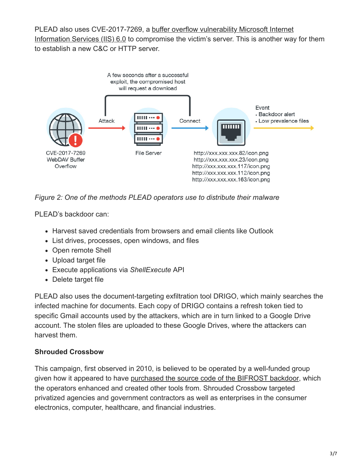PLEAD also uses CVE-2017-7269, a buffer overflow vulnerability Microsoft Internet [Information Services \(IIS\) 6.0 to compromise the victim's server. This is another way](http://blog.trendmicro.com/trendlabs-security-intelligence/iis-6-0-vulnerability-leads-code-execution/) for them to establish a new C&C or HTTP server.



*Figure 2: One of the methods PLEAD operators use to distribute their malware*

PLEAD's backdoor can:

- Harvest saved credentials from browsers and email clients like Outlook
- List drives, processes, open windows, and files
- Open remote Shell
- Upload target file
- Execute applications via *ShellExecute* API
- Delete target file

PLEAD also uses the document-targeting exfiltration tool DRIGO, which mainly searches the infected machine for documents. Each copy of DRIGO contains a refresh token tied to specific Gmail accounts used by the attackers, which are in turn linked to a Google Drive account. The stolen files are uploaded to these Google Drives, where the attackers can harvest them.

#### **Shrouded Crossbow**

This campaign, first observed in 2010, is believed to be operated by a well-funded group given how it appeared to have [purchased the source code of the BIFROST backdoor](http://blog.trendmicro.com/trendlabs-security-intelligence/new-targeted-attack-group-buys-bifrose-code-works-in-teams/), which the operators enhanced and created other tools from. Shrouded Crossbow targeted privatized agencies and government contractors as well as enterprises in the consumer electronics, computer, healthcare, and financial industries.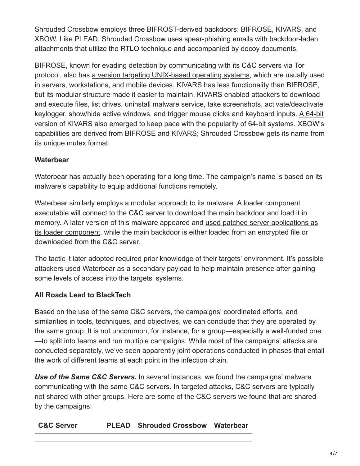Shrouded Crossbow employs three BIFROST-derived backdoors: BIFROSE, KIVARS, and XBOW. Like PLEAD, Shrouded Crossbow uses spear-phishing emails with backdoor-laden attachments that utilize the RTLO technique and accompanied by decoy documents.

BIFROSE, known for evading detection by communicating with its C&C servers via Tor protocol, also has [a version targeting UNIX-based operating systems](http://blog.trendmicro.com/trendlabs-security-intelligence/threat-actors-behind-shrouded-crossbow-creates-bifrose-for-unix/), which are usually used in servers, workstations, and mobile devices. KIVARS has less functionality than BIFROSE, but its modular structure made it easier to maintain. KIVARS enabled attackers to download and execute files, list drives, uninstall malware service, take screenshots, activate/deactivate [keylogger, show/hide active windows, and trigger mouse clicks and keyboard inputs. A 64-bit](http://blog.trendmicro.com/trendlabs-security-intelligence/kivars-with-venom-targeted-attacks-upgrade-with-64-bit-support/) version of KIVARS also emerged to keep pace with the popularity of 64-bit systems. XBOW's capabilities are derived from BIFROSE and KIVARS; Shrouded Crossbow gets its name from its unique mutex format.

# **Waterbear**

Waterbear has actually been operating for a long time. The campaign's name is based on its malware's capability to equip additional functions remotely.

Waterbear similarly employs a modular approach to its malware. A loader component executable will connect to the C&C server to download the main backdoor and load it in [memory. A later version of this malware appeared and used patched server applications as](http://blog.trendmicro.com/trendlabs-security-intelligence/attack-gains-foothold-against-east-asian-government-through-auto-start/) its loader component, while the main backdoor is either loaded from an encrypted file or downloaded from the C&C server.

The tactic it later adopted required prior knowledge of their targets' environment. It's possible attackers used Waterbear as a secondary payload to help maintain presence after gaining some levels of access into the targets' systems.

## **All Roads Lead to BlackTech**

Based on the use of the same C&C servers, the campaigns' coordinated efforts, and similarities in tools, techniques, and objectives, we can conclude that they are operated by the same group. It is not uncommon, for instance, for a group—especially a well-funded one —to split into teams and run multiple campaigns. While most of the campaigns' attacks are conducted separately, we've seen apparently joint operations conducted in phases that entail the work of different teams at each point in the infection chain.

*Use of the Same C&C Servers.* In several instances, we found the campaigns' malware communicating with the same C&C servers. In targeted attacks, C&C servers are typically not shared with other groups. Here are some of the C&C servers we found that are shared by the campaigns: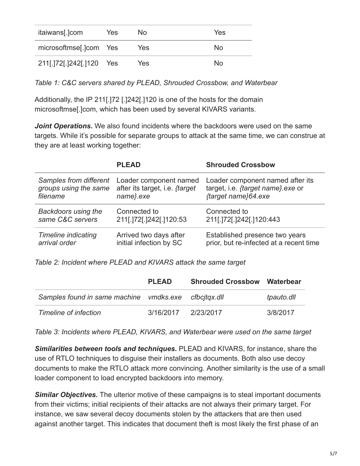| itaiwans[.]com         | Yes | No. | Yes |
|------------------------|-----|-----|-----|
| microsoftmse[.]com Yes |     | Yes | No. |
| 211[.]72[.]242[.]120   | Yes | Yes | No. |

*Table 1: C&C servers shared by PLEAD, Shrouded Crossbow, and Waterbear*

Additionally, the IP 211[.]72 [.]242[.]120 is one of the hosts for the domain microsoftmse[.]com, which has been used by several KIVARS variants.

*Joint Operations.* We also found incidents where the backdoors were used on the same targets. While it's possible for separate groups to attack at the same time, we can construe at they are at least working together:

|                            | <b>PLEAD</b>                          | <b>Shrouded Crossbow</b>                |
|----------------------------|---------------------------------------|-----------------------------------------|
| Samples from different     | Loader component named                | Loader component named after its        |
| groups using the same      | after its target, i.e. <i>{target</i> | target, i.e. {target name} exe or       |
| filename                   | name}.exe                             | {target name}64.exe                     |
| <b>Backdoors using the</b> | Connected to                          | Connected to                            |
| same C&C servers           | 211[.172].1242[.120:53                | 211[.]72[.]242[.]120:443                |
| <b>Timeline indicating</b> | Arrived two days after                | Established presence two years          |
| arrival order              | initial infection by SC               | prior, but re-infected at a recent time |

*Table 2: Incident where PLEAD and KIVARS attack the same target*

|                                                      | <b>PLEAD</b> | <b>Shrouded Crossbow Waterbear</b> |            |
|------------------------------------------------------|--------------|------------------------------------|------------|
| Samples found in same machine vmdks.exe cfbcitgx.dll |              |                                    | tpauto.dll |
| Timeline of infection                                | 3/16/2017    | 2/23/2017                          | 3/8/2017   |

*Table 3: Incidents where PLEAD, KIVARS, and Waterbear were used on the same target*

*Similarities between tools and techniques.* PLEAD and KIVARS, for instance, share the use of RTLO techniques to disguise their installers as documents. Both also use decoy documents to make the RTLO attack more convincing. Another similarity is the use of a small loader component to load encrypted backdoors into memory.

**Similar Objectives.** The ulterior motive of these campaigns is to steal important documents from their victims; initial recipients of their attacks are not always their primary target. For instance, we saw several decoy documents stolen by the attackers that are then used against another target. This indicates that document theft is most likely the first phase of an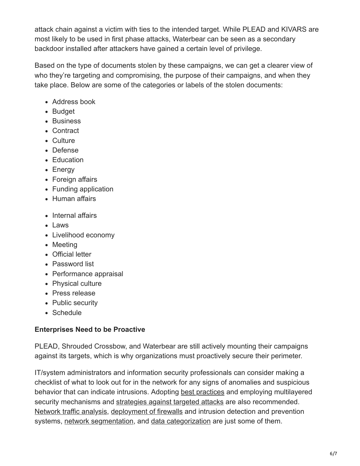attack chain against a victim with ties to the intended target. While PLEAD and KIVARS are most likely to be used in first phase attacks, Waterbear can be seen as a secondary backdoor installed after attackers have gained a certain level of privilege.

Based on the type of documents stolen by these campaigns, we can get a clearer view of who they're targeting and compromising, the purpose of their campaigns, and when they take place. Below are some of the categories or labels of the stolen documents:

- Address book
- Budget
- Business
- Contract
- Culture
- Defense
- Education
- Energy
- Foreign affairs
- Funding application
- Human affairs
- Internal affairs
- Laws
- Livelihood economy
- Meeting
- Official letter
- Password list
- Performance appraisal
- Physical culture
- Press release
- Public security
- Schedule

# **Enterprises Need to be Proactive**

PLEAD, Shrouded Crossbow, and Waterbear are still actively mounting their campaigns against its targets, which is why organizations must proactively secure their perimeter.

IT/system administrators and information security professionals can consider making a checklist of what to look out for in the network for any signs of anomalies and suspicious behavior that can indicate intrusions. Adopting [best practices](https://www.trendmicro.com/vinfo/tmr/?/us/security/news/cyber-attacks/form-strategies-based-on-these-targeted-attack-stages) and employing multilayered security mechanisms and [strategies against targeted attacks](http://blog.trendmicro.com/trendlabs-security-intelligence/four-steps-to-an-effective-targeted-attack-response/) are also recommended. [Network traffic analysis](https://www.trendmicro.com/vinfo/tmr/?/us/security/news/cyber-attacks/network-traffic-analysis-can-stop-targeted-attacks), [deployment of firewalls](https://www.trendmicro.com/vinfo/tmr/?/us/security/news/cyber-attacks/backdoors-what-they-are-and-how-to-defend-networks-against-them) and intrusion detection and prevention systems, [network segmentation](http://blog.trendmicro.com/trendlabs-security-intelligence/identifying-and-dividing-networks-and-users/), and [data categorization](http://blog.trendmicro.com/trendlabs-security-intelligence/identifying-and-dividing-networks-and-users/) are just some of them.